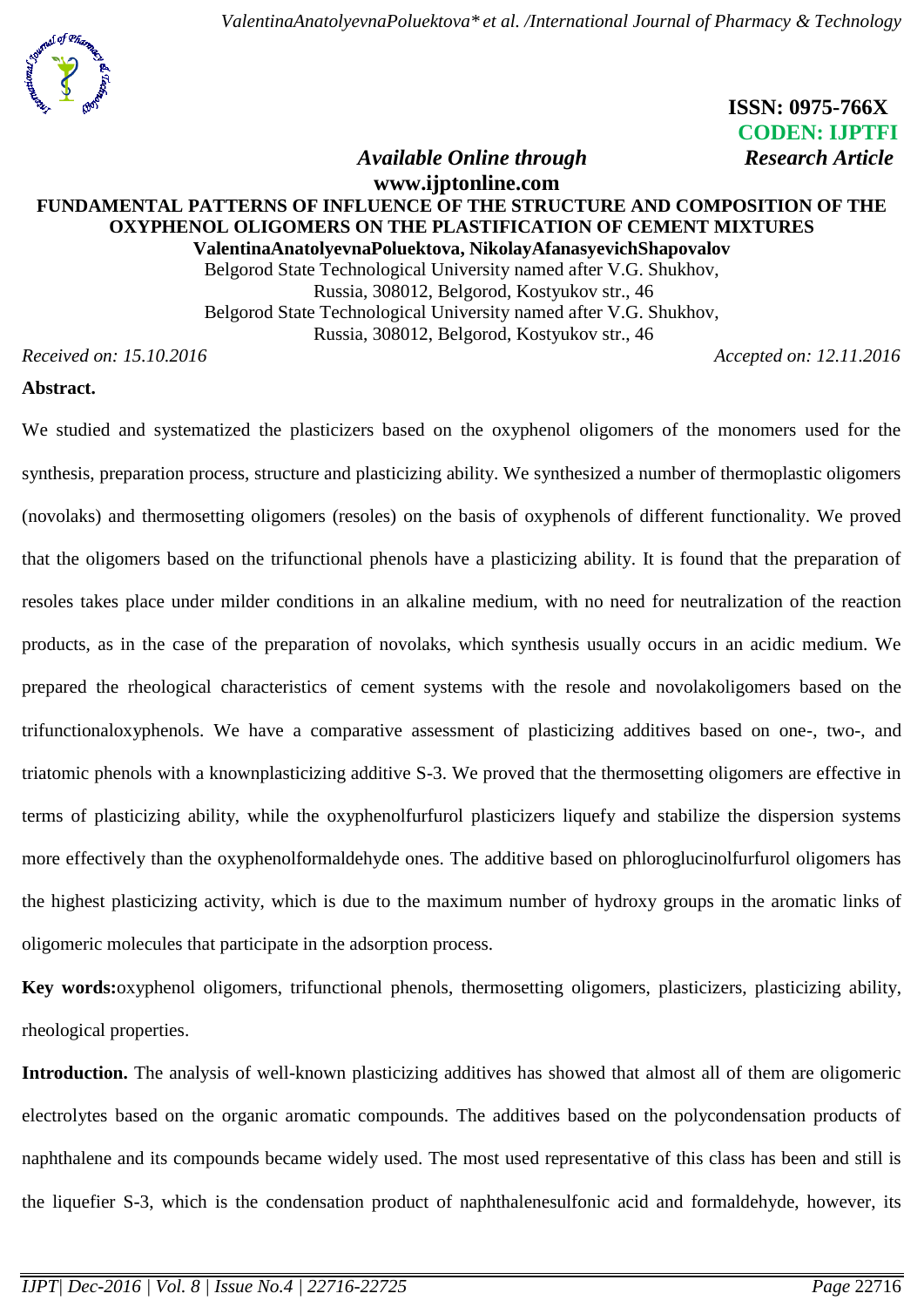*ValentinaAnatolyevnaPoluektova\* et al. /International Journal of Pharmacy & Technology*



 **ISSN: 0975-766X CODEN: IJPTFI** *Available Online through* Research Article

### **www.ijptonline.com FUNDAMENTAL PATTERNS OF INFLUENCE OF THE STRUCTURE AND COMPOSITION OF THE OXYPHENOL OLIGOMERS ON THE PLASTIFICATION OF CEMENT MIXTURES ValentinaAnatolyevnaPoluektova, NikolayAfanasyevichShapovalov**

Belgorod State Technological University named after V.G. Shukhov, Russia, 308012, Belgorod, Kostyukov str., 46 Belgorod State Technological University named after V.G. Shukhov, Russia, 308012, Belgorod, Kostyukov str., 46

*Received on: 15.10.2016 Accepted on: 12.11.2016*

## **Abstract.**

We studied and systematized the plasticizers based on the oxyphenol oligomers of the monomers used for the synthesis, preparation process, structure and plasticizing ability. We synthesized a number of thermoplastic oligomers (novolaks) and thermosetting oligomers (resoles) on the basis of oxyphenols of different functionality. We proved that the oligomers based on the trifunctional phenols have a plasticizing ability. It is found that the preparation of resoles takes place under milder conditions in an alkaline medium, with no need for neutralization of the reaction products, as in the case of the preparation of novolaks, which synthesis usually occurs in an acidic medium. We prepared the rheological characteristics of cement systems with the resole and novolakoligomers based on the trifunctionaloxyphenols. We have a comparative assessment of plasticizing additives based on one-, two-, and triatomic phenols with a knownplasticizing additive S-3. We proved that the thermosetting oligomers are effective in terms of plasticizing ability, while the oxyphenolfurfurol plasticizers liquefy and stabilize the dispersion systems more effectively than the oxyphenolformaldehyde ones. The additive based on phloroglucinolfurfurol oligomers has the highest plasticizing activity, which is due to the maximum number of hydroxy groups in the aromatic links of oligomeric molecules that participate in the adsorption process.

**Key words:**oxyphenol oligomers, trifunctional phenols, thermosetting oligomers, plasticizers, plasticizing ability, rheological properties.

**Introduction.** The analysis of well-known plasticizing additives has showed that almost all of them are oligomeric electrolytes based on the organic aromatic compounds. The additives based on the polycondensation products of naphthalene and its compounds became widely used. The most used representative of this class has been and still is the liquefier S-3, which is the condensation product of naphthalenesulfonic acid and formaldehyde, however, its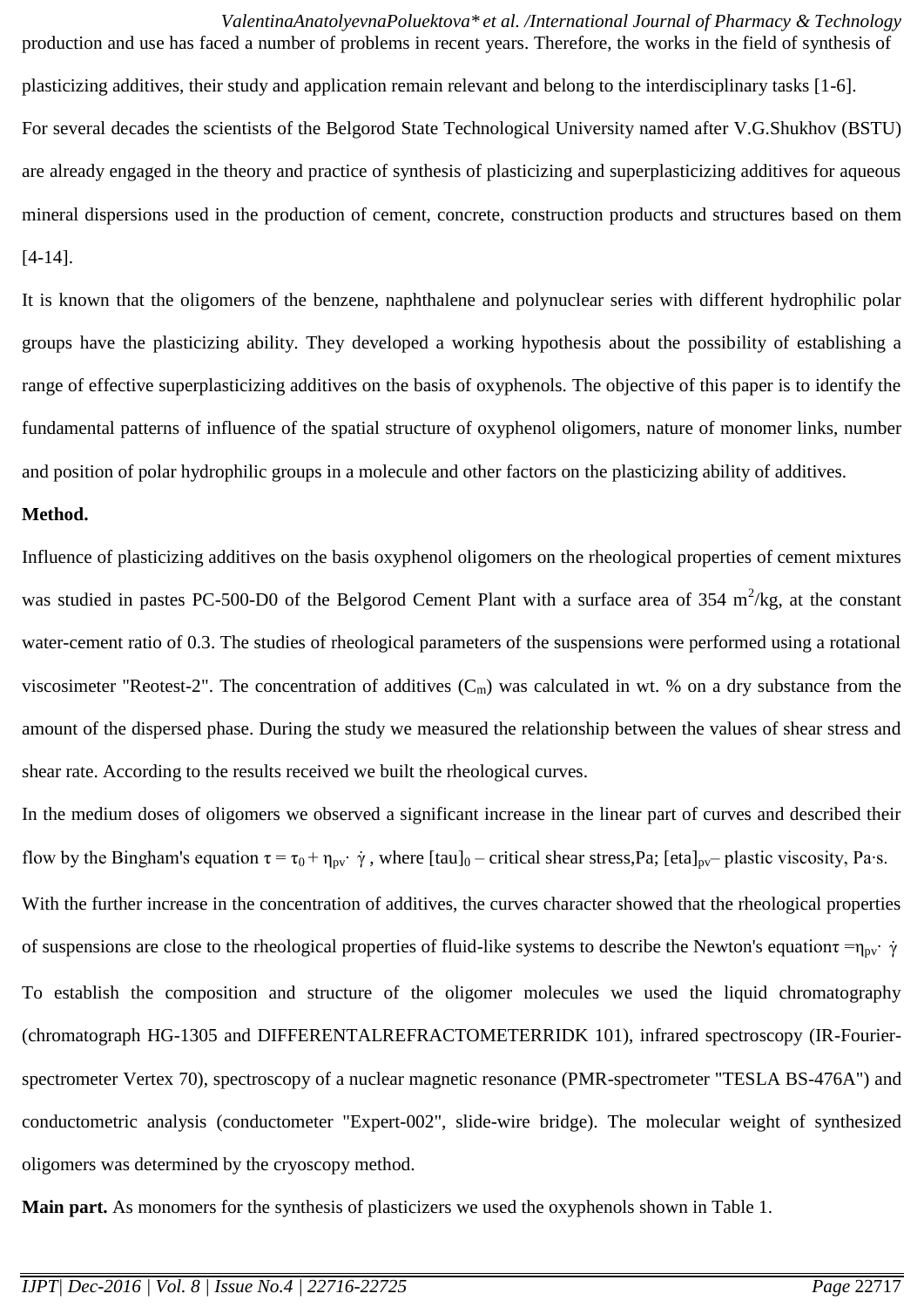*ValentinaAnatolyevnaPoluektova\* et al. /International Journal of Pharmacy & Technology* production and use has faced a number of problems in recent years. Therefore, the works in the field of synthesis of plasticizing additives, their study and application remain relevant and belong to the interdisciplinary tasks [1-6]. For several decades the scientists of the Belgorod State Technological University named after V.G.Shukhov (BSTU) are already engaged in the theory and practice of synthesis of plasticizing and superplasticizing additives for aqueous mineral dispersions used in the production of cement, concrete, construction products and structures based on them [4-14].

It is known that the oligomers of the benzene, naphthalene and polynuclear series with different hydrophilic polar groups have the plasticizing ability. They developed a working hypothesis about the possibility of establishing a range of effective superplasticizing additives on the basis of oxyphenols. The objective of this paper is to identify the fundamental patterns of influence of the spatial structure of oxyphenol oligomers, nature of monomer links, number and position of polar hydrophilic groups in a molecule and other factors on the plasticizing ability of additives.

#### **Method.**

Influence of plasticizing additives on the basis oxyphenol oligomers on the rheological properties of cement mixtures was studied in pastes PC-500-D0 of the Belgorod Cement Plant with a surface area of 354  $m^2/kg$ , at the constant water-cement ratio of 0.3. The studies of rheological parameters of the suspensions were performed using a rotational viscosimeter "Reotest-2". The concentration of additives  $(C_m)$  was calculated in wt. % on a dry substance from the amount of the dispersed phase. During the study we measured the relationship between the values of shear stress and shear rate. According to the results received we built the rheological curves.

In the medium doses of oligomers we observed a significant increase in the linear part of curves and described their flow by the Bingham's equation  $\tau = \tau_0 + \eta_{pv}$   $\dot{\gamma}$ , where [tau]<sub>0</sub> – critical shear stress,Pa; [eta]<sub>pv</sub>– plastic viscosity, Pa·s. With the further increase in the concentration of additives, the curves character showed that the rheological properties of suspensions are close to the rheological properties of fluid-like systems to describe the Newton's equation $\tau = \eta_{pv} \cdot \dot{\gamma}$ To establish the composition and structure of the oligomer molecules we used the liquid chromatography (chromatograph HG-1305 and DIFFERENTALREFRACTOMETERRIDK 101), infrared spectroscopy (IR-Fourierspectrometer Vertex 70), spectroscopy of a nuclear magnetic resonance (PMR-spectrometer "TESLA BS-476A") and conductometric analysis (conductometer "Expert-002", slide-wire bridge). The molecular weight of synthesized oligomers was determined by the cryoscopy method.

**Main part.** As monomers for the synthesis of plasticizers we used the oxyphenols shown in Table 1.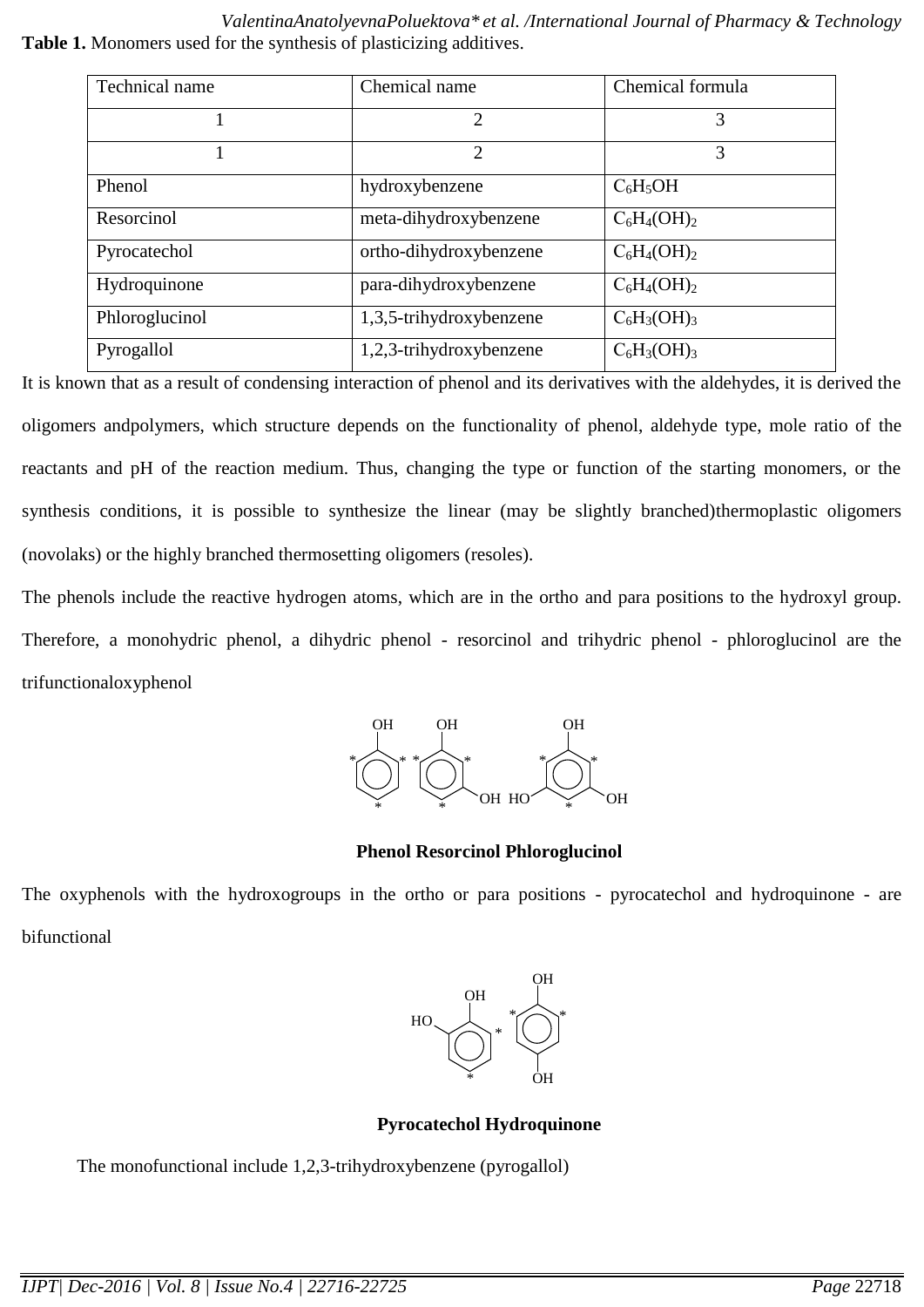*ValentinaAnatolyevnaPoluektova\* et al. /International Journal of Pharmacy & Technology* **Table 1.** Monomers used for the synthesis of plasticizing additives.

| Technical name | Chemical name           | Chemical formula |  |
|----------------|-------------------------|------------------|--|
|                | $\overline{2}$          | 3                |  |
|                | $\overline{2}$          | 3                |  |
| Phenol         | hydroxybenzene          | $C_6H_5OH$       |  |
| Resorcinol     | meta-dihydroxybenzene   | $C_6H_4(OH)_2$   |  |
| Pyrocatechol   | ortho-dihydroxybenzene  | $C_6H_4(OH)_2$   |  |
| Hydroquinone   | para-dihydroxybenzene   | $C_6H_4(OH)_2$   |  |
| Phloroglucinol | 1,3,5-trihydroxybenzene | $C_6H_3(OH)_3$   |  |
| Pyrogallol     | 1,2,3-trihydroxybenzene | $C_6H_3(OH)_3$   |  |

It is known that as a result of condensing interaction of phenol and its derivatives with the aldehydes, it is derived the oligomers an[dpolymers,](http://mplast.by/encyklopedia/polimeryi/) which structure depends on the functionality of phenol, aldehyde type, mole ratio of the reactants and pH of the reaction medium. Thus, changing the type or function of the starting monomers, or the synthesis conditions, it is possible to synthesize the linear (may be slightly branched[\)thermoplastic o](http://mplast.by/encyklopedia/termoplastyi/)ligomers (novolaks) or the highly branched thermosetting oligomers (resoles).

The phenols include the reactive hydrogen [atoms,](http://mplast.by/encyklopedia/atom-2/) which are in the ortho and para positions to the hydroxyl group. Therefore, a monohydric phenol, a dihydric phenol - resorcinol and trihydric phenol - phloroglucinol are the trifunctionaloxyphenol



**Phenol Resorcinol Phloroglucinol**

The oxyphenols with the hydroxogroups in the ortho or para positions - pyrocatechol and hydroquinone - are bifunctional



**Pyrocatechol Hydroquinone** 

The monofunctional include 1,2,3-trihydroxybenzene (pyrogallol)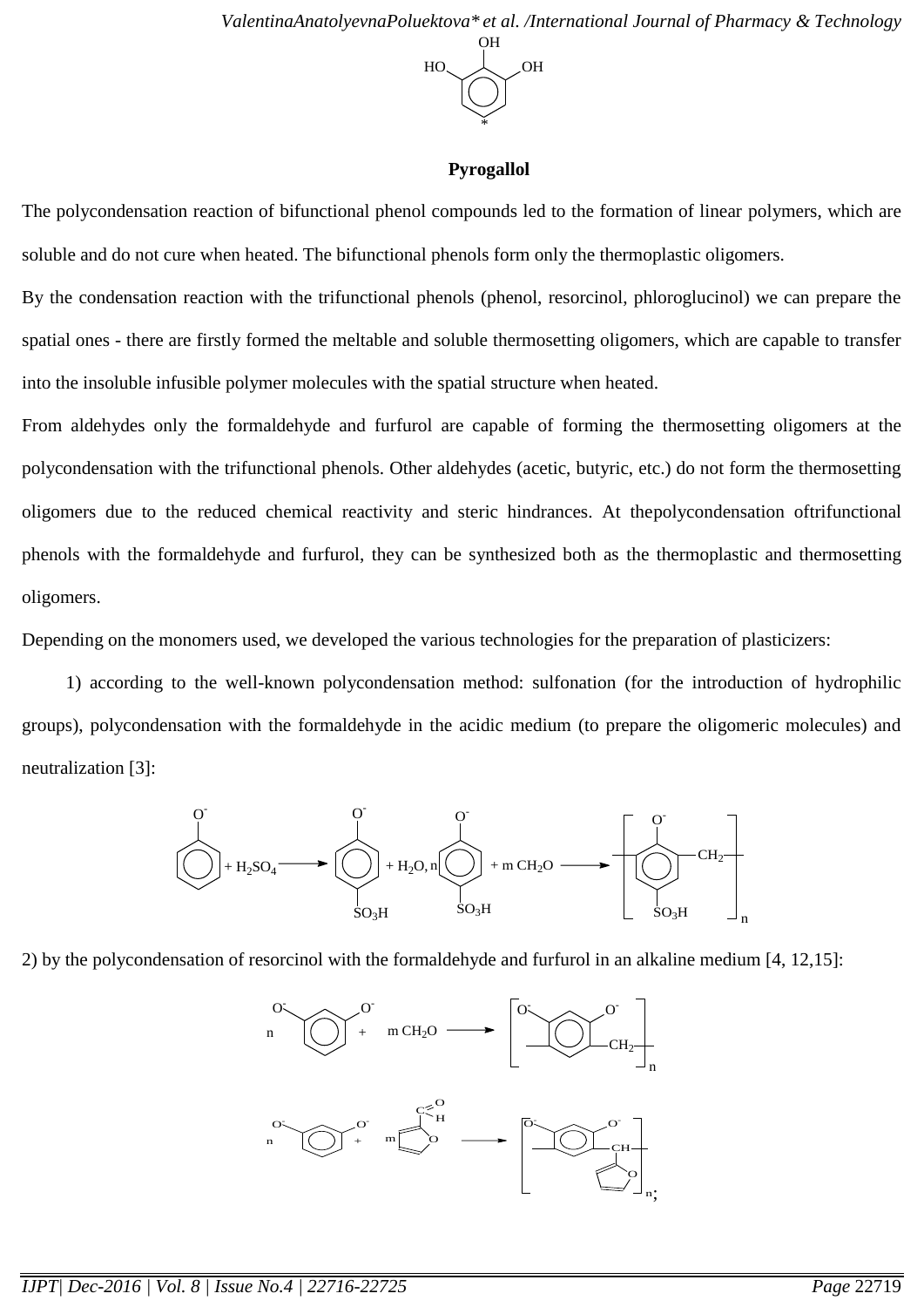

## **Pyrogallol**

The polycondensation reaction of bifunctional phenol compounds led to the formation of linear polymers, which are soluble and do not cure when heated. The bifunctional phenols form only the thermoplastic oligomers.

By the condensation reaction with the trifunctional phenols (phenol, resorcinol, phloroglucinol) we can prepare the spatial ones - there are firstly formed the meltable and soluble thermosetting oligomers, which are capable to transfer into the insoluble infusible polymer molecules with the spatial structure when heated.

From aldehydes only the formaldehyde and furfurol are capable of forming the thermosetting oligomers at the polycondensation with the trifunctional phenols. Other aldehydes (acetic, butyric, etc.) do not form the thermosetting oligomers due to the reduced chemical reactivity and steric hindrances. At th[epolycondensation oft](http://mplast.by/encyklopedia/polikondensatsiya/)rifunctional phenols with the [formaldehyde](http://mplast.by/encyklopedia/poliformaldegid/) and furfurol, they can be synthesized both as [the thermoplastic a](http://mplast.by/encyklopedia/termoplastyi/)nd [thermosetting](http://mplast.by/encyklopedia/reaktoplastyi/) oligomers.

Depending on the monomers used, we developed the various technologies for the preparation of plasticizers:

1) according to the well-known polycondensation method: sulfonation (for the introduction of hydrophilic groups), polycondensation with the formaldehyde in the acidic medium (to prepare the oligomeric molecules) and neutralization [3]:



2) by the polycondensation of resorcinol with the formaldehyde and furfurol in an alkaline medium [4, 12,15]:

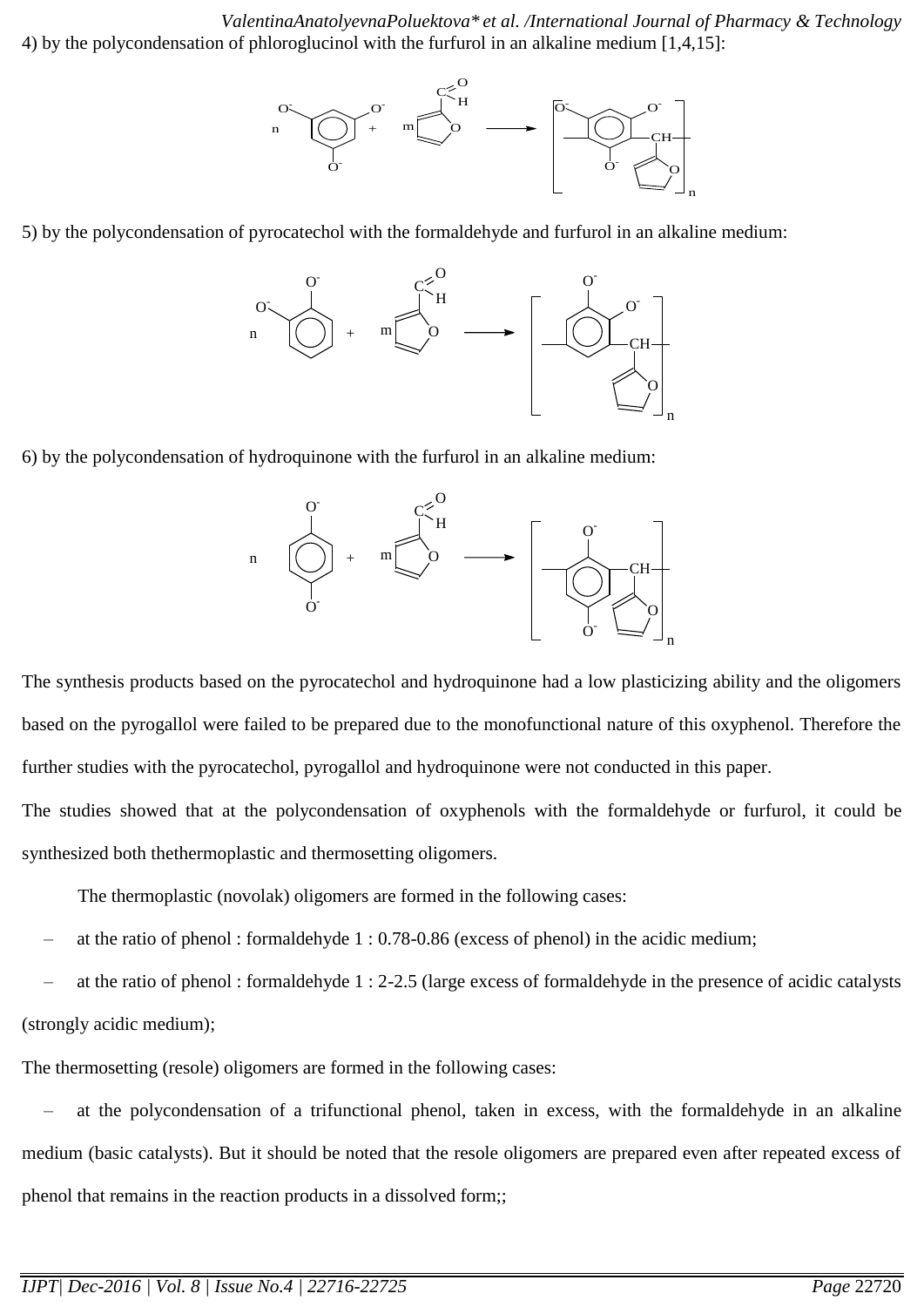*ValentinaAnatolyevnaPoluektova\* et al. /International Journal of Pharmacy & Technology* 4) by the polycondensation of phloroglucinol with the furfurol in an alkaline medium [1,4,15]:



5) by the polycondensation of pyrocatechol with the formaldehyde and furfurol in an alkaline medium:



6) by the polycondensation of hydroquinone with the furfurol in an alkaline medium:



The synthesis products based on the pyrocatechol and hydroquinone had a low plasticizing ability and the oligomers based on the pyrogallol were failed to be prepared due to the monofunctional nature of this oxyphenol. Therefore the further studies with the pyrocatechol, pyrogallol and hydroquinone were not conducted in this paper.

The studies showed that at the [polycondensation](http://mplast.by/encyklopedia/polikondensatsiya/) of oxyphenols with the [formaldehyde](http://mplast.by/encyklopedia/poliformaldegid/) or furfurol, it could be synthesized both th[ethermoplastic](http://mplast.by/encyklopedia/termoplastyi/) and [thermosetting](http://mplast.by/encyklopedia/reaktoplastyi/) oligomers.

The thermoplastic (novolak) oligomers are formed in the following cases:

– at the ratio of phenol : formaldehyde 1 : 0.78-0.86 (excess of phenol) in the acidic medium;

– at the ratio of phenol : formaldehyde 1 : 2-2.5 (large excess of formaldehyde in the presence of acidic catalysts (strongly acidic medium);

The thermosetting (resole) oligomers are formed in the following cases:

– at the polycondensation of a trifunctional phenol, taken in excess, with the formaldehyde in an alkaline medium (basic catalysts). But it should be noted that the resole oligomers are prepared even after repeated excess of phenol that remains in the reaction products in a dissolved form;;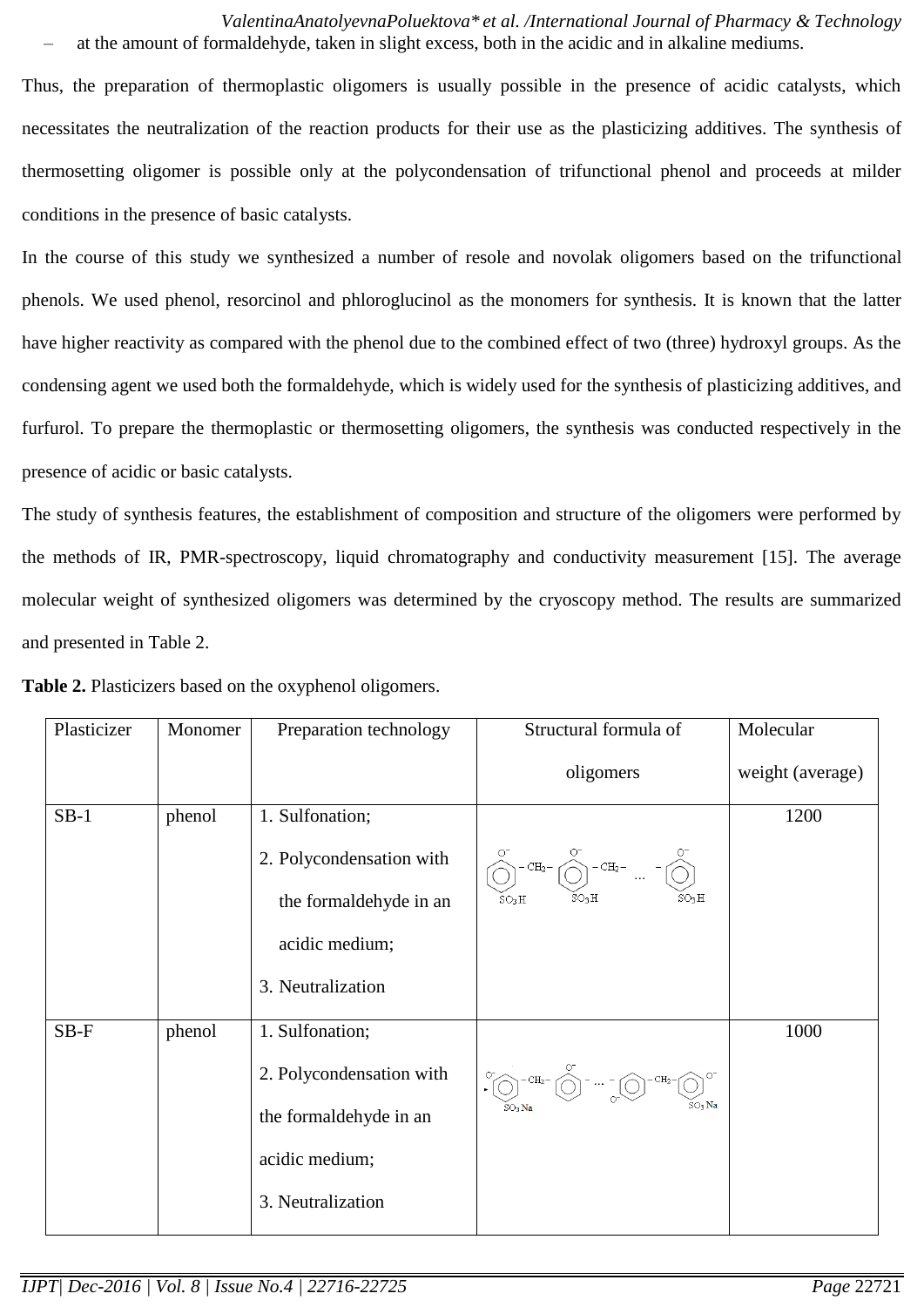*ValentinaAnatolyevnaPoluektova\* et al. /International Journal of Pharmacy & Technology* – at the amount of formaldehyde, taken in slight excess, both in the acidic and in alkaline mediums.

Thus, the preparation of thermoplastic oligomers is usually possible in the presence of acidic catalysts, which necessitates the neutralization of the reaction products for their use as the plasticizing additives. The synthesis of thermosetting oligomer is possible only at the polycondensation of trifunctional phenol and proceeds at milder conditions in the presence of basic catalysts.

In the course of this study we synthesized a number of resole and novolak oligomers based on the trifunctional phenols. We used phenol, resorcinol and phloroglucinol as the monomers for synthesis. It is known that the latter have higher reactivity as compared with the phenol due to the combined effect of two (three) hydroxyl groups. As the condensing agent we used both the formaldehyde, which is widely used for the synthesis of plasticizing additives, and furfurol. To prepare the thermoplastic or thermosetting oligomers, the synthesis was conducted respectively in the presence of acidic or basic catalysts.

The study of synthesis features, the establishment of composition and structure of the oligomers were performed by the methods of IR, PMR-spectroscopy, liquid chromatography and conductivity measurement [15]. The average molecular weight of synthesized oligomers was determined by the cryoscopy method. The results are summarized and presented in Table 2.

| Plasticizer | Monomer | Preparation technology                                                                                       | Structural formula of                                                                                                                                                                                                                                                                                                                               | Molecular        |
|-------------|---------|--------------------------------------------------------------------------------------------------------------|-----------------------------------------------------------------------------------------------------------------------------------------------------------------------------------------------------------------------------------------------------------------------------------------------------------------------------------------------------|------------------|
|             |         |                                                                                                              | oligomers                                                                                                                                                                                                                                                                                                                                           | weight (average) |
| $SB-1$      | phenol  | 1. Sulfonation;<br>2. Polycondensation with<br>the formaldehyde in an<br>acidic medium;<br>3. Neutralization | $\bigodot^{\circ}$ - CH <sub>2</sub> -<br>$-CH_2 - \sqrt{\sqrt{2}}$<br>SO3H<br>SO3H<br>SO <sub>3</sub> H                                                                                                                                                                                                                                            | 1200             |
| SB-F        | phenol  | 1. Sulfonation;<br>2. Polycondensation with<br>the formaldehyde in an<br>acidic medium;<br>3. Neutralization | $\begin{picture}(45,10) \put(0,0){\line(1,0){15}} \put(15,0){\line(1,0){15}} \put(15,0){\line(1,0){15}} \put(15,0){\line(1,0){15}} \put(15,0){\line(1,0){15}} \put(15,0){\line(1,0){15}} \put(15,0){\line(1,0){15}} \put(15,0){\line(1,0){15}} \put(15,0){\line(1,0){15}} \put(15,0){\line(1,0){15}} \put(15,0){\line(1,0){15}} \put(15,0){\line(1$ | 1000             |

**Table 2.** Plasticizers based on the oxyphenol oligomers.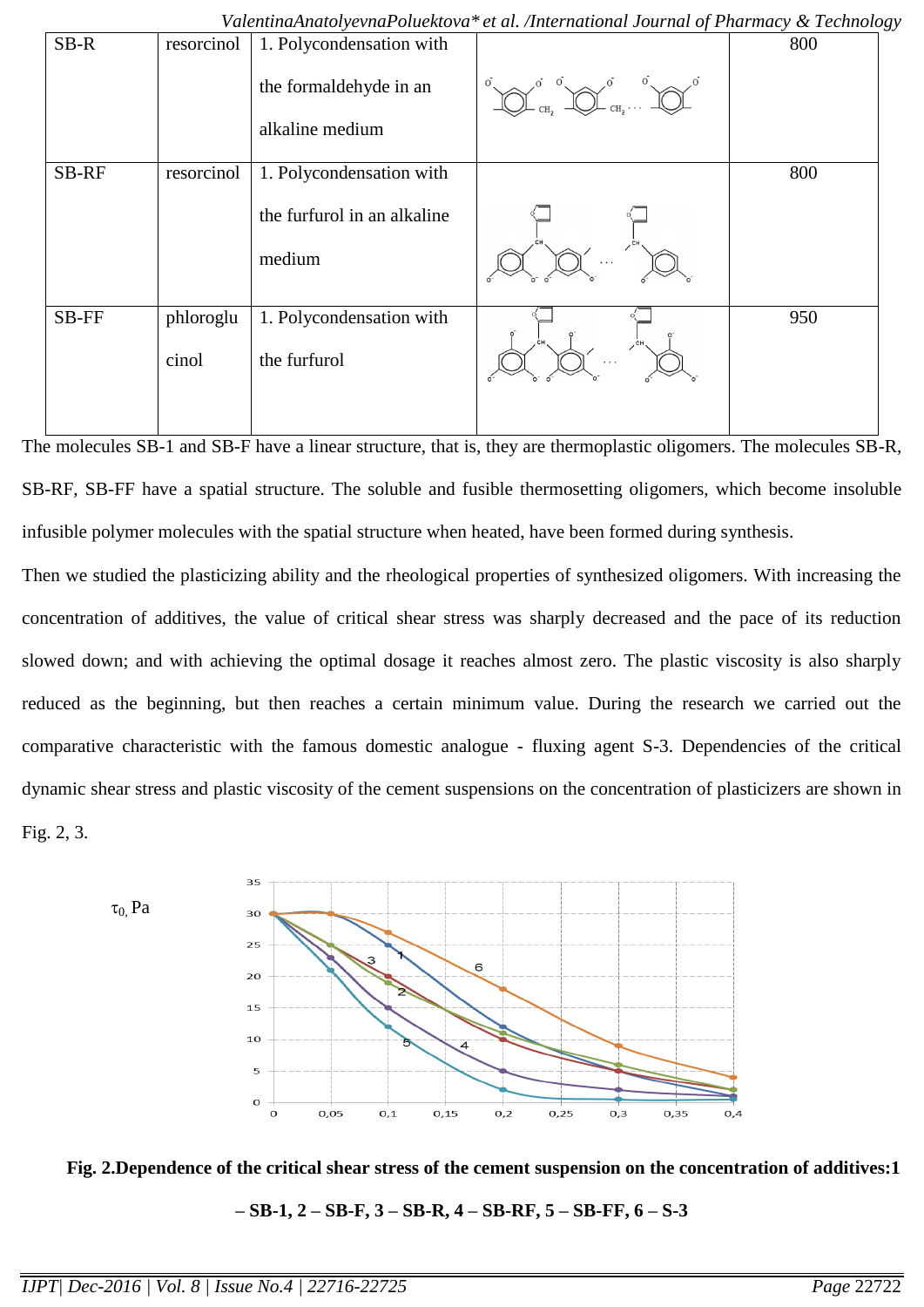*ValentinaAnatolyevnaPoluektova\* et al. /International Journal of Pharmacy & Technology*

| SB-R  | resorcinol         | 1. Polycondensation with<br>the formaldehyde in an | $\overline{O}$ | 800 |
|-------|--------------------|----------------------------------------------------|----------------|-----|
|       |                    | alkaline medium                                    |                |     |
| SB-RF | resorcinol         | 1. Polycondensation with                           |                | 800 |
|       |                    | the furfurol in an alkaline<br>medium              |                |     |
| SB-FF | phloroglu<br>cinol | 1. Polycondensation with<br>the furfurol           | .              | 950 |

The molecules SB-1 and SB-F have a linear structure, that is, they are thermoplastic oligomers. The molecules SB-R, SB-RF, SB-FF have a spatial structure. The soluble and fusible thermosetting oligomers, which become insoluble infusible polymer molecules with the spatial structure when heated, have been formed during synthesis.

Then we studied the plasticizing ability and the rheological properties of synthesized oligomers. With increasing the concentration of additives, the value of critical shear stress was sharply decreased and the pace of its reduction slowed down; and with achieving the optimal dosage it reaches almost zero. The plastic viscosity is also sharply reduced as the beginning, but then reaches a certain minimum value. During the research we carried out the comparative characteristic with the famous domestic analogue - fluxing agent S-3. Dependencies of the critical dynamic shear stress and plastic viscosity of the cement suspensions on the concentration of plasticizers are shown in Fig. 2, 3.





**– SB-1, 2 – SB-F, 3 – SB-R, 4 – SB-RF, 5 – SB-FF, 6 – S-3**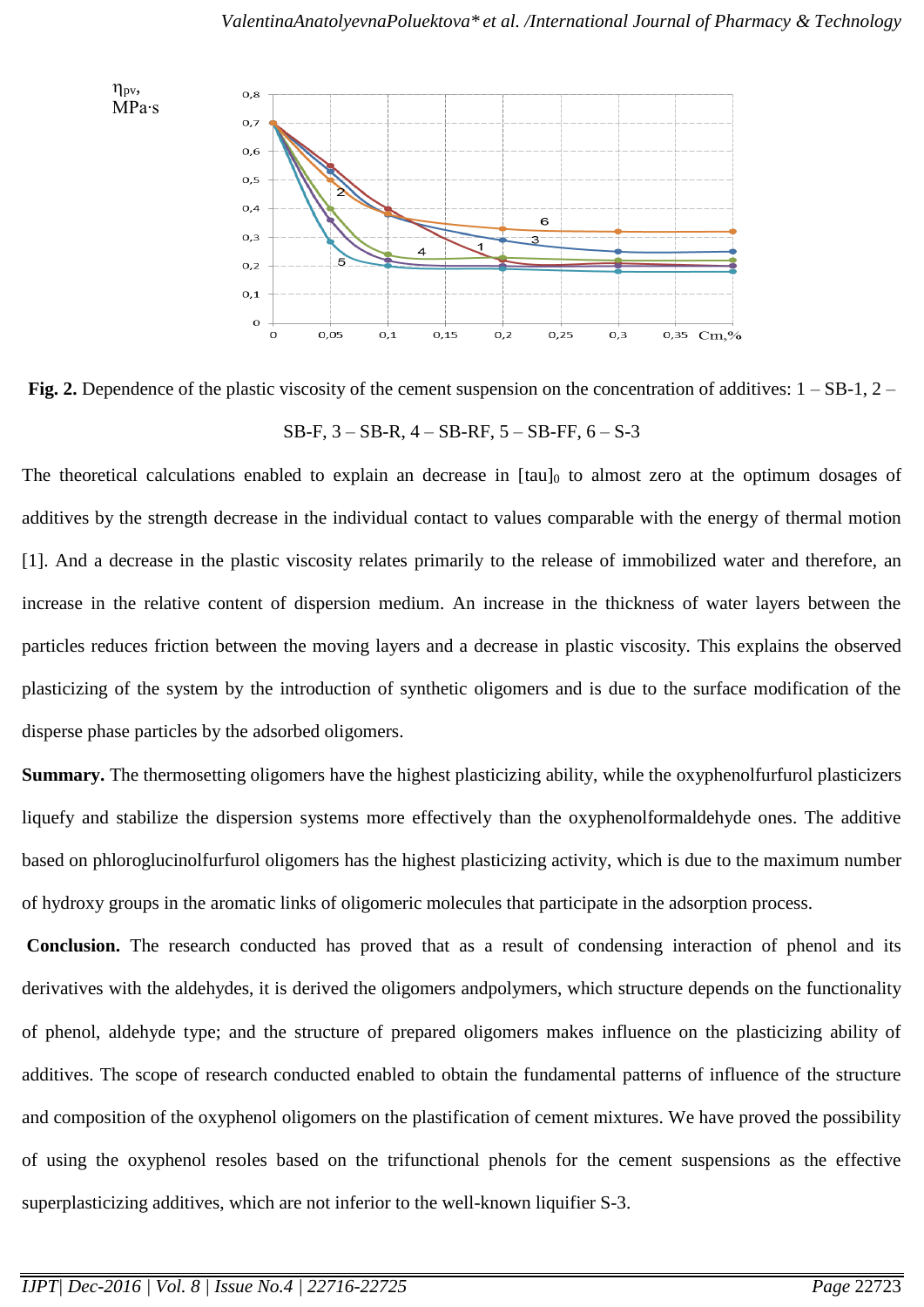



The theoretical calculations enabled to explain an decrease in  $\lceil \tan \rceil_0$  to almost zero at the optimum dosages of additives by the strength decrease in the individual contact to values comparable with the energy of thermal motion [1]. And a decrease in the plastic viscosity relates primarily to the release of immobilized water and therefore, an increase in the relative content of dispersion medium. An increase in the thickness of water layers between the particles reduces friction between the moving layers and a decrease in plastic viscosity. This explains the observed plasticizing of the system by the introduction of synthetic oligomers and is due to the surface modification of the disperse phase particles by the adsorbed oligomers.

**Summary.** The thermosetting oligomers have the highest plasticizing ability, while the oxyphenolfurfurol plasticizers liquefy and stabilize the dispersion systems more effectively than the oxyphenolformaldehyde ones. The additive based on phloroglucinolfurfurol oligomers has the highest plasticizing activity, which is due to the maximum number of hydroxy groups in the aromatic links of oligomeric molecules that participate in the adsorption process.

**Conclusion.** The research conducted has proved that as a result of condensing interaction of phenol and its derivatives with the aldehydes, it is derived the oligomers an[dpolymers,](http://mplast.by/encyklopedia/polimeryi/) which structure depends on the functionality of phenol, aldehyde type; and the structure of prepared oligomers makes influence on the plasticizing ability of additives. The scope of research conducted enabled to obtain the fundamental patterns of influence of the structure and composition of the oxyphenol oligomers on the plastification of cement mixtures. We have proved the possibility of using the oxyphenol resoles based on the trifunctional phenols for the cement suspensions as the effective superplasticizing additives, which are not inferior to the well-known liquifier S-3.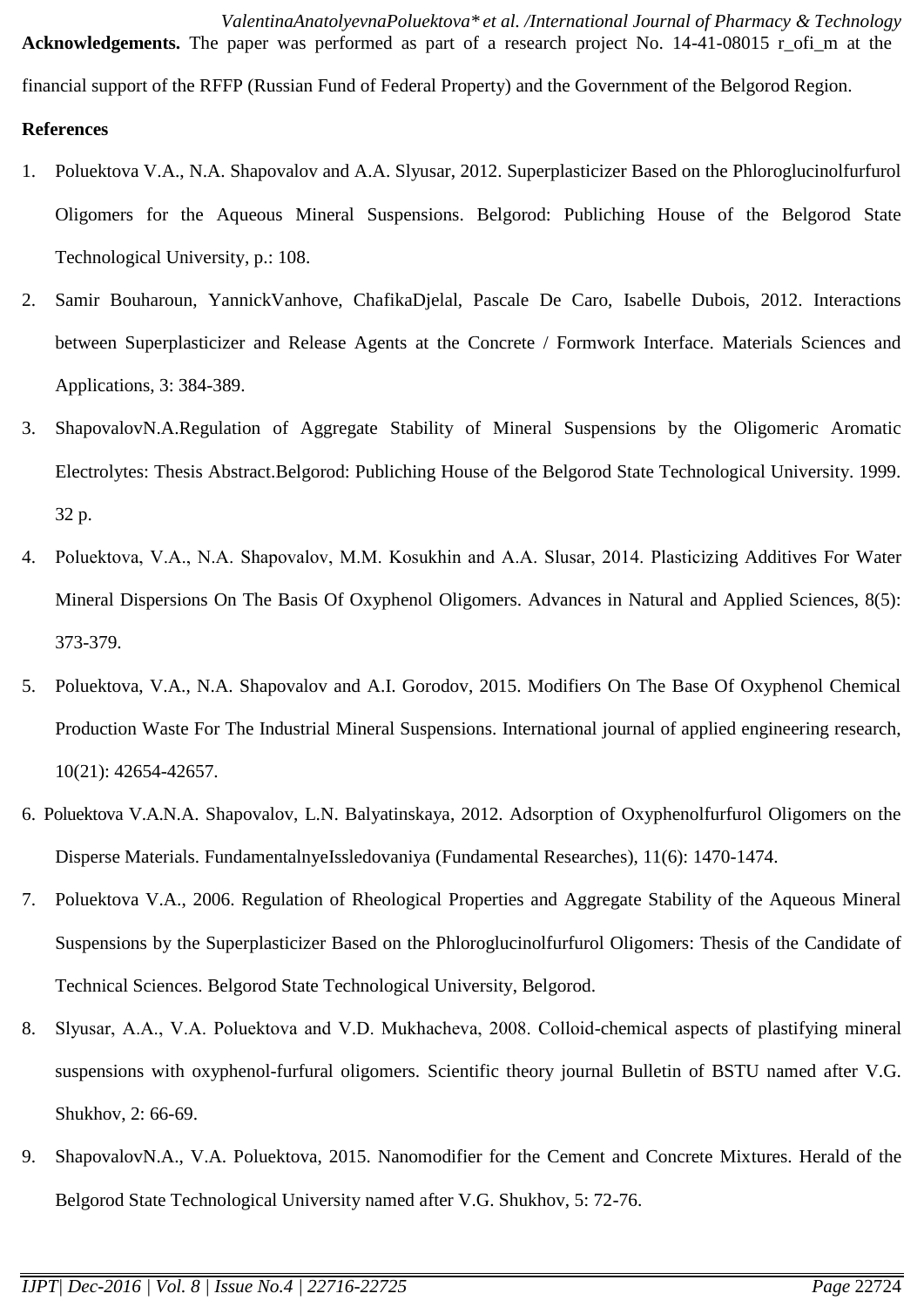*ValentinaAnatolyevnaPoluektova\* et al. /International Journal of Pharmacy & Technology* Acknowledgements. The paper was performed as part of a research project No. 14-41-08015 r ofi\_m at the financial support of the RFFP (Russian Fund of Federal Property) and the Government of the Belgorod Region. **References**

# 1. Poluektova V.A., N.A. Shapovalov and A.A. Slyusar, 2012. Superplasticizer Based on the Phloroglucinolfurfurol Oligomers for the Aqueous Mineral Suspensions. Belgorod: Publiching House of the Belgorod State Technological University, p.: 108.

- 2. Samir Bouharoun, YannickVanhove, ChafikaDjelal, Pascale De Caro, Isabelle Dubois, 2012. Interactions between Superplasticizer and Release Agents at the Concrete / Formwork Interface. Materials Sciences and Applications, 3: 384-389.
- 3. ShapovalovN.A.Regulation of Aggregate Stability of Mineral Suspensions by the Oligomeric Aromatic Electrolytes: Thesis Abstract.Belgorod: Publiching House of the Belgorod State Technological University. 1999. 32 p.
- 4. Poluektova, V.A., N.A. Shapovalov, М.М. Kosukhin and А.А. Slusar, 2014. Plasticizing Additives For Water Mineral Dispersions On The Basis Of Oxyphenol Oligomers. Advances in Natural and Applied Sciences, 8(5): 373-379.
- 5. Poluektova, V.A., N.A. Shapovalov and A.I. Gorodov, 2015. Modifiers On The Base Of Oxyphenol Chemical Production Waste For The Industrial Mineral Suspensions. International journal of applied engineering research, 10(21): 42654-42657.
- 6. Poluektova V.A.N.A. Shapovalov, L.N. Balyatinskaya, 2012. Adsorption of Oxyphenolfurfurol Oligomers on the Disperse Materials. FundamentalnyeIssledovaniya (Fundamental Researches), 11(6): 1470-1474.
- 7. Poluektova V.A., 2006. Regulation of Rheological Properties and Aggregate Stability of the Aqueous Mineral Suspensions by the Superplasticizer Based on the Phloroglucinolfurfurol Oligomers: Thesis of the Candidate of Technical Sciences. Belgorod State Technological University, Belgorod.
- 8. Slyusar, А.А., V.А. Poluektova and V.D. Mukhacheva, 2008. Colloid-chemical aspects of plastifying mineral suspensions with oxyphenol-furfural oligomers. Scientific theory journal Bulletin of BSTU named after V.G. Shukhov, 2: 66-69.
- 9. ShapovalovN.A., V.A. Poluektova, 2015. Nanomodifier for the Cement and Concrete Mixtures. Herald of the Belgorod State Technological University named after V.G. Shukhov, 5: 72-76.